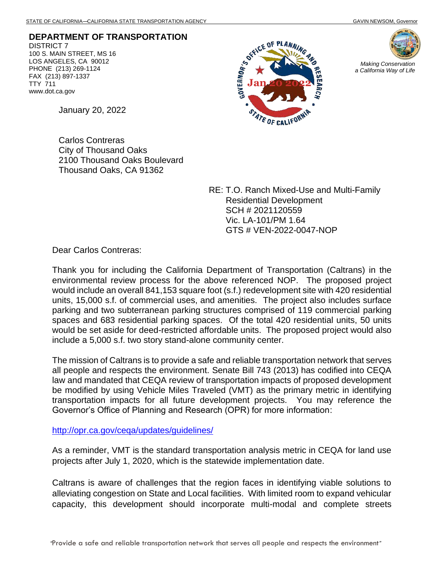**DEPARTMENT OF TRANSPORTATION** DISTRICT 7 100 S. MAIN STREET, MS 16 LOS ANGELES, CA 90012 PHONE (213) 269-1124 FAX (213) 897-1337 TTY 711 www.dot.ca.gov





January 20, 2022

Carlos Contreras City of Thousand Oaks 2100 Thousand Oaks Boulevard Thousand Oaks, CA 91362

> RE: T.O. Ranch Mixed-Use and Multi-Family Residential Development SCH # 2021120559 Vic. LA-101/PM 1.64 GTS # VEN-2022-0047-NOP

Dear Carlos Contreras:

Thank you for including the California Department of Transportation (Caltrans) in the environmental review process for the above referenced NOP. The proposed project would include an overall 841,153 square foot (s.f.) redevelopment site with 420 residential units, 15,000 s.f. of commercial uses, and amenities. The project also includes surface parking and two subterranean parking structures comprised of 119 commercial parking spaces and 683 residential parking spaces. Of the total 420 residential units, 50 units would be set aside for deed-restricted affordable units. The proposed project would also include a 5,000 s.f. two story stand-alone community center.

The mission of Caltrans is to provide a safe and reliable transportation network that serves all people and respects the environment. Senate Bill 743 (2013) has codified into CEQA law and mandated that CEQA review of transportation impacts of proposed development be modified by using Vehicle Miles Traveled (VMT) as the primary metric in identifying transportation impacts for all future development projects. You may reference the Governor's Office of Planning and Research (OPR) for more information:

<http://opr.ca.gov/ceqa/updates/guidelines/>

As a reminder, VMT is the standard transportation analysis metric in CEQA for land use projects after July 1, 2020, which is the statewide implementation date.

Caltrans is aware of challenges that the region faces in identifying viable solutions to alleviating congestion on State and Local facilities. With limited room to expand vehicular capacity, this development should incorporate multi-modal and complete streets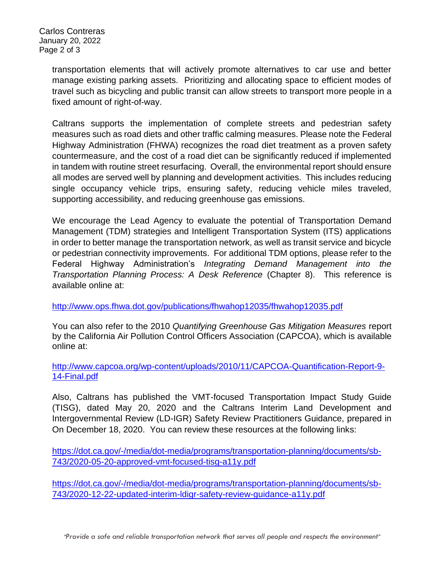Carlos Contreras January 20, 2022 Page 2 of 3

> transportation elements that will actively promote alternatives to car use and better manage existing parking assets. Prioritizing and allocating space to efficient modes of travel such as bicycling and public transit can allow streets to transport more people in a fixed amount of right-of-way.

> Caltrans supports the implementation of complete streets and pedestrian safety measures such as road diets and other traffic calming measures. Please note the Federal Highway Administration (FHWA) recognizes the road diet treatment as a proven safety countermeasure, and the cost of a road diet can be significantly reduced if implemented in tandem with routine street resurfacing. Overall, the environmental report should ensure all modes are served well by planning and development activities. This includes reducing single occupancy vehicle trips, ensuring safety, reducing vehicle miles traveled, supporting accessibility, and reducing greenhouse gas emissions.

> We encourage the Lead Agency to evaluate the potential of Transportation Demand Management (TDM) strategies and Intelligent Transportation System (ITS) applications in order to better manage the transportation network, as well as transit service and bicycle or pedestrian connectivity improvements. For additional TDM options, please refer to the Federal Highway Administration's *Integrating Demand Management into the Transportation Planning Process: A Desk Reference* (Chapter 8).This reference is available online at:

<http://www.ops.fhwa.dot.gov/publications/fhwahop12035/fhwahop12035.pdf>

You can also refer to the 2010 *Quantifying Greenhouse Gas Mitigation Measures* report by the California Air Pollution Control Officers Association (CAPCOA), which is available online at:

[http://www.capcoa.org/wp-content/uploads/2010/11/CAPCOA-Quantification-Report-9-](http://www.capcoa.org/wp-content/uploads/2010/11/CAPCOA-Quantification-Report-9-14-Final.pdf) [14-Final.pdf](http://www.capcoa.org/wp-content/uploads/2010/11/CAPCOA-Quantification-Report-9-14-Final.pdf)

Also, Caltrans has published the VMT-focused Transportation Impact Study Guide (TISG), dated May 20, 2020 and the Caltrans Interim Land Development and Intergovernmental Review (LD-IGR) Safety Review Practitioners Guidance, prepared in On December 18, 2020. You can review these resources at the following links:

[https://dot.ca.gov/-/media/dot-media/programs/transportation-planning/documents/sb-](https://dot.ca.gov/-/media/dot-media/programs/transportation-planning/documents/sb-743/2020-05-20-approved-vmt-focused-tisg-a11y.pdf)[743/2020-05-20-approved-vmt-focused-tisg-a11y.pdf](https://dot.ca.gov/-/media/dot-media/programs/transportation-planning/documents/sb-743/2020-05-20-approved-vmt-focused-tisg-a11y.pdf)

[https://dot.ca.gov/-/media/dot-media/programs/transportation-planning/documents/sb-](https://dot.ca.gov/-/media/dot-media/programs/transportation-planning/documents/sb-743/2020-12-22-updated-interim-ldigr-safety-review-guidance-a11y.pdf)[743/2020-12-22-updated-interim-ldigr-safety-review-guidance-a11y.pdf](https://dot.ca.gov/-/media/dot-media/programs/transportation-planning/documents/sb-743/2020-12-22-updated-interim-ldigr-safety-review-guidance-a11y.pdf)